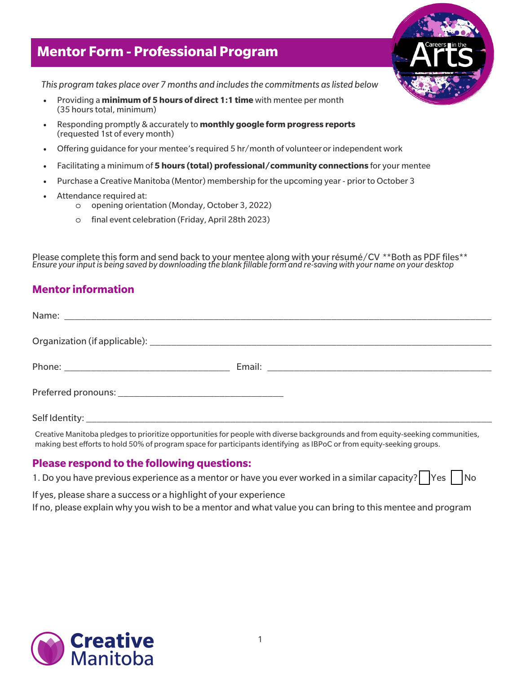## **Mentor Form - Professional Program**



*This program takes place over 7 months and includes the commitments as listed below* 

- *•* Providing a **minimum of 5 hours of direct 1:1 time**with mentee per month (35 hours total, minimum)
- *•* Responding promptly & accurately to **monthly google form progress reports** (requested 1st of every month)
- *•* Offering guidance for your mentee's required 5 hr/month of volunteer or independent work
- *•* Facilitating a minimum of **5 hours (total) professional/community connections** for your mentee
- *•* Purchase a Creative Manitoba (Mentor) membership for the upcoming year prior to October 3
- *•* Attendance required at:
	- o opening orientation (Monday, October 3, 2022)
	- o final event celebration (Friday, April 28th 2023)

Please complete this form and send back to your mentee along with your résumé/CV \*\*Both as PDF files\*\* *Ensure your input is being saved by downloading the blank fillable form and re-saving with your name on your desktop*

## **Mentor information**

Creative Manitoba pledges to prioritize opportunities for people with diverse backgrounds and from equity-seeking communities, making best efforts to hold 50% of program space for participants identifying as IBPoC or from equity-seeking groups.

## **Please respond to the following questions:**

1. Do you have previous experience as a mentor or have you ever worked in a similar capacity?  $\vert$  Yes  $\vert$  Noo

If yes, please share a success or a highlight of your experience If no, please explain why you wish to be a mentor and what value you can bring to this mentee and program